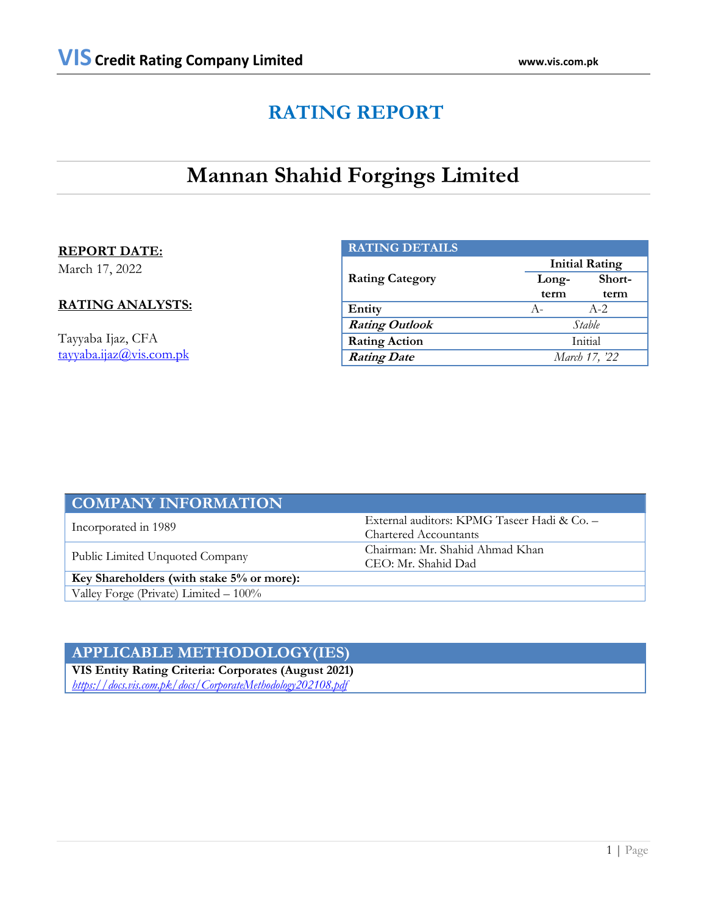## **RATING REPORT**

## **Mannan Shahid Forgings Limited**

### **REPORT DATE:**

March 17, 2022

### **RATING ANALYSTS:**

Tayyaba Ijaz, CFA [tayyaba.ijaz@vis.com.pk](mailto:tayyaba.ijaz@vis.com.pk)

| <b>RATING DETAILS</b>  |       |                       |  |  |  |
|------------------------|-------|-----------------------|--|--|--|
|                        |       | <b>Initial Rating</b> |  |  |  |
| <b>Rating Category</b> | Long- | Short-                |  |  |  |
|                        | term  | term                  |  |  |  |
| Entity                 | $A -$ | $A - 2$               |  |  |  |
| <b>Rating Outlook</b>  |       | Stable                |  |  |  |
| <b>Rating Action</b>   |       | Initial               |  |  |  |
| <b>Rating Date</b>     |       | March 17, '22         |  |  |  |

| <b>COMPANY INFORMATION</b>                |                                             |  |
|-------------------------------------------|---------------------------------------------|--|
|                                           | External auditors: KPMG Taseer Hadi & Co. - |  |
| Incorporated in 1989                      | <b>Chartered Accountants</b>                |  |
| Public Limited Unquoted Company           | Chairman: Mr. Shahid Ahmad Khan             |  |
|                                           | CEO: Mr. Shahid Dad                         |  |
| Key Shareholders (with stake 5% or more): |                                             |  |
| Valley Forge (Private) Limited - 100%     |                                             |  |

## **APPLICABLE METHODOLOGY(IES)**

**VIS Entity Rating Criteria: Corporates (August 2021)** *<https://docs.vis.com.pk/docs/CorporateMethodology202108.pdf>*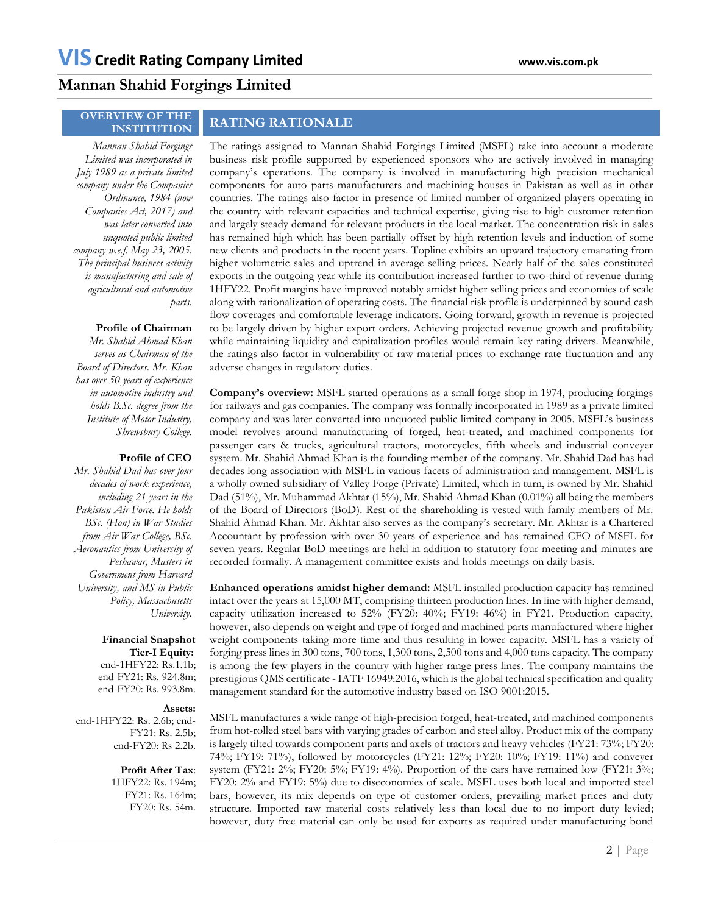## **Mannan Shahid Forgings Limited**

## **OVERVIEW OF THE**

## **INSTITUTION RATING RATIONALE**

*Mannan Shahid Forgings Limited was incorporated in July 1989 as a private limited company under the Companies Ordinance, 1984 (now Companies Act, 2017) and was later converted into unquoted public limited company w.e.f. May 23, 2005. The principal business activity is manufacturing and sale of agricultural and automotive parts.* 

#### **Profile of Chairman**

*Mr. Shahid Ahmad Khan serves as Chairman of the Board of Directors. Mr. Khan has over 50 years of experience in automotive industry and holds B.Sc. degree from the Institute of Motor Industry, Shrewsbury College.*

#### **Profile of CEO**

*Mr. Shahid Dad has over four decades of work experience, including 21 years in the Pakistan Air Force. He holds BSc. (Hon) in War Studies from Air War College, BSc. Aeronautics from University of Peshawar, Masters in Government from Harvard University, and MS in Public Policy, Massachusetts University.*

### **Financial Snapshot Tier-I Equity:**

end-1HFY22: Rs.1.1b; end-FY21: Rs. 924.8m; end-FY20: Rs. 993.8m.

#### **Assets:**

end-1HFY22: Rs. 2.6b; end-FY21: Rs. 2.5b; end-FY20: Rs 2.2b.

> **Profit After Tax**: 1HFY22: Rs. 194m; FY21: Rs. 164m; FY20: Rs. 54m.

The ratings assigned to Mannan Shahid Forgings Limited (MSFL) take into account a moderate business risk profile supported by experienced sponsors who are actively involved in managing company's operations. The company is involved in manufacturing high precision mechanical components for auto parts manufacturers and machining houses in Pakistan as well as in other countries. The ratings also factor in presence of limited number of organized players operating in the country with relevant capacities and technical expertise, giving rise to high customer retention and largely steady demand for relevant products in the local market. The concentration risk in sales has remained high which has been partially offset by high retention levels and induction of some new clients and products in the recent years. Topline exhibits an upward trajectory emanating from higher volumetric sales and uptrend in average selling prices. Nearly half of the sales constituted exports in the outgoing year while its contribution increased further to two-third of revenue during 1HFY22. Profit margins have improved notably amidst higher selling prices and economies of scale along with rationalization of operating costs. The financial risk profile is underpinned by sound cash flow coverages and comfortable leverage indicators. Going forward, growth in revenue is projected to be largely driven by higher export orders. Achieving projected revenue growth and profitability while maintaining liquidity and capitalization profiles would remain key rating drivers. Meanwhile, the ratings also factor in vulnerability of raw material prices to exchange rate fluctuation and any adverse changes in regulatory duties.

**Company's overview:** MSFL started operations as a small forge shop in 1974, producing forgings for railways and gas companies. The company was formally incorporated in 1989 as a private limited company and was later converted into unquoted public limited company in 2005. MSFL's business model revolves around manufacturing of forged, heat-treated, and machined components for passenger cars & trucks, agricultural tractors, motorcycles, fifth wheels and industrial conveyer system. Mr. Shahid Ahmad Khan is the founding member of the company. Mr. Shahid Dad has had decades long association with MSFL in various facets of administration and management. MSFL is a wholly owned subsidiary of Valley Forge (Private) Limited, which in turn, is owned by Mr. Shahid Dad (51%), Mr. Muhammad Akhtar (15%), Mr. Shahid Ahmad Khan (0.01%) all being the members of the Board of Directors (BoD). Rest of the shareholding is vested with family members of Mr. Shahid Ahmad Khan. Mr. Akhtar also serves as the company's secretary. Mr. Akhtar is a Chartered Accountant by profession with over 30 years of experience and has remained CFO of MSFL for seven years. Regular BoD meetings are held in addition to statutory four meeting and minutes are recorded formally. A management committee exists and holds meetings on daily basis.

**Enhanced operations amidst higher demand:** MSFL installed production capacity has remained intact over the years at 15,000 MT, comprising thirteen production lines. In line with higher demand, capacity utilization increased to 52% (FY20: 40%; FY19: 46%) in FY21. Production capacity, however, also depends on weight and type of forged and machined parts manufactured where higher weight components taking more time and thus resulting in lower capacity. MSFL has a variety of forging press lines in 300 tons, 700 tons, 1,300 tons, 2,500 tons and 4,000 tons capacity. The company is among the few players in the country with higher range press lines. The company maintains the prestigious QMS certificate - IATF 16949:2016, which is the global technical specification and quality management standard for the automotive industry based on ISO 9001:2015.

MSFL manufactures a wide range of high-precision forged, heat-treated, and machined components from hot-rolled steel bars with varying grades of carbon and steel alloy. Product mix of the company is largely tilted towards component parts and axels of tractors and heavy vehicles (FY21: 73%; FY20: 74%; FY19: 71%), followed by motorcycles (FY21: 12%; FY20: 10%; FY19: 11%) and conveyer system (FY21: 2%; FY20: 5%; FY19: 4%). Proportion of the cars have remained low (FY21: 3%; FY20: 2% and FY19: 5%) due to diseconomies of scale. MSFL uses both local and imported steel bars, however, its mix depends on type of customer orders, prevailing market prices and duty structure. Imported raw material costs relatively less than local due to no import duty levied; however, duty free material can only be used for exports as required under manufacturing bond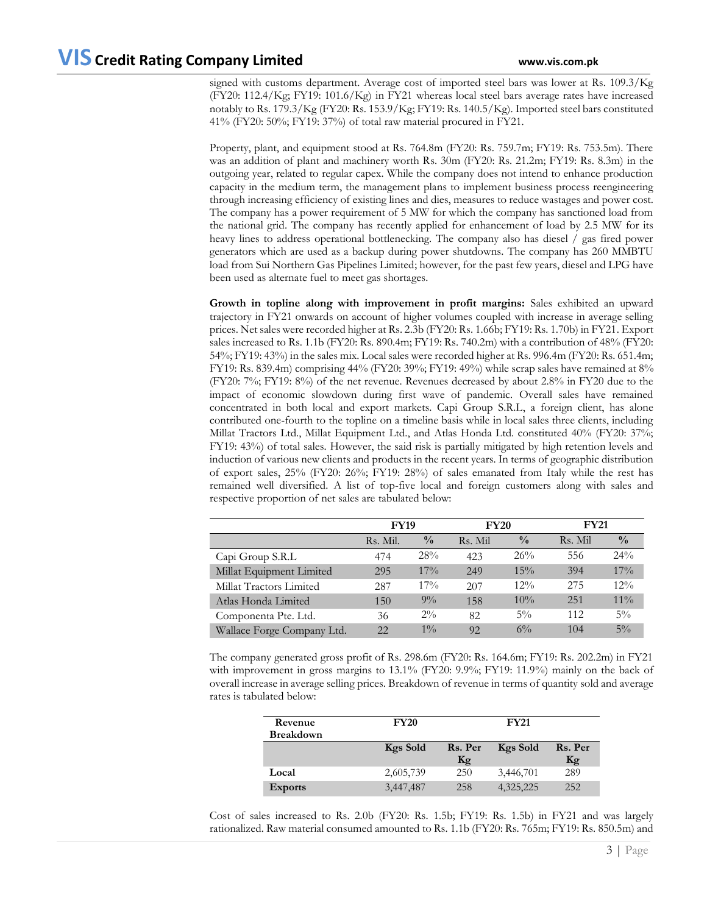signed with customs department. Average cost of imported steel bars was lower at Rs. 109.3/Kg (FY20: 112.4/Kg; FY19: 101.6/Kg) in FY21 whereas local steel bars average rates have increased notably to Rs. 179.3/Kg (FY20: Rs. 153.9/Kg; FY19: Rs. 140.5/Kg). Imported steel bars constituted 41% (FY20: 50%; FY19: 37%) of total raw material procured in FY21.

Property, plant, and equipment stood at Rs. 764.8m (FY20: Rs. 759.7m; FY19: Rs. 753.5m). There was an addition of plant and machinery worth Rs. 30m (FY20: Rs. 21.2m; FY19: Rs. 8.3m) in the outgoing year, related to regular capex. While the company does not intend to enhance production capacity in the medium term, the management plans to implement business process reengineering through increasing efficiency of existing lines and dies, measures to reduce wastages and power cost. The company has a power requirement of 5 MW for which the company has sanctioned load from the national grid. The company has recently applied for enhancement of load by 2.5 MW for its heavy lines to address operational bottlenecking. The company also has diesel / gas fired power generators which are used as a backup during power shutdowns. The company has 260 MMBTU load from Sui Northern Gas Pipelines Limited; however, for the past few years, diesel and LPG have been used as alternate fuel to meet gas shortages.

**Growth in topline along with improvement in profit margins:** Sales exhibited an upward trajectory in FY21 onwards on account of higher volumes coupled with increase in average selling prices. Net sales were recorded higher at Rs. 2.3b (FY20: Rs. 1.66b; FY19: Rs. 1.70b) in FY21. Export sales increased to Rs. 1.1b (FY20: Rs. 890.4m; FY19: Rs. 740.2m) with a contribution of 48% (FY20: 54%; FY19: 43%) in the sales mix. Local sales were recorded higher at Rs. 996.4m (FY20: Rs. 651.4m; FY19: Rs. 839.4m) comprising 44% (FY20: 39%; FY19: 49%) while scrap sales have remained at 8% (FY20: 7%; FY19: 8%) of the net revenue. Revenues decreased by about 2.8% in FY20 due to the impact of economic slowdown during first wave of pandemic. Overall sales have remained concentrated in both local and export markets. Capi Group S.R.L, a foreign client, has alone contributed one-fourth to the topline on a timeline basis while in local sales three clients, including Millat Tractors Ltd., Millat Equipment Ltd., and Atlas Honda Ltd. constituted 40% (FY20: 37%; FY19: 43%) of total sales. However, the said risk is partially mitigated by high retention levels and induction of various new clients and products in the recent years. In terms of geographic distribution of export sales, 25% (FY20: 26%; FY19: 28%) of sales emanated from Italy while the rest has remained well diversified. A list of top-five local and foreign customers along with sales and respective proportion of net sales are tabulated below:

|                            | <b>FY19</b> |               | <b>FY20</b> |               | <b>FY21</b> |               |
|----------------------------|-------------|---------------|-------------|---------------|-------------|---------------|
|                            | Rs. Mil.    | $\frac{0}{0}$ | Rs. Mil     | $\frac{0}{0}$ | Rs. Mil     | $\frac{0}{0}$ |
| Capi Group S.R.L           | 474         | 28%           | 423         | 26%           | 556         | 24%           |
| Millat Equipment Limited   | 295         | $17\%$        | 249         | 15%           | 394         | 17%           |
| Millat Tractors Limited    | 287         | $17\%$        | 207         | $12\%$        | 275         | $12\%$        |
| Atlas Honda Limited        | 150         | $9\%$         | 158         | 10%           | 251         | $11\%$        |
| Componenta Pte. Ltd.       | 36          | $2\%$         | 82          | $5\%$         | 112         | $5\%$         |
| Wallace Forge Company Ltd. | 22.         | $1\%$         | 92          | $6\%$         | 104         | $5\%$         |

The company generated gross profit of Rs. 298.6m (FY20: Rs. 164.6m; FY19: Rs. 202.2m) in FY21 with improvement in gross margins to 13.1% (FY20: 9.9%; FY19: 11.9%) mainly on the back of overall increase in average selling prices. Breakdown of revenue in terms of quantity sold and average rates is tabulated below:

| Revenue          | <b>FY20</b>     |         | <b>FY21</b>     |         |
|------------------|-----------------|---------|-----------------|---------|
| <b>Breakdown</b> |                 |         |                 |         |
|                  | <b>Kgs Sold</b> | Rs. Per | <b>Kgs</b> Sold | Rs. Per |
|                  |                 | Kg      |                 | Kg      |
| Local            | 2,605,739       | 250     | 3,446,701       | 289     |
| <b>Exports</b>   | 3,447,487       | 258     | 4,325,225       | 252     |

Cost of sales increased to Rs. 2.0b (FY20: Rs. 1.5b; FY19: Rs. 1.5b) in FY21 and was largely rationalized. Raw material consumed amounted to Rs. 1.1b (FY20: Rs. 765m; FY19: Rs. 850.5m) and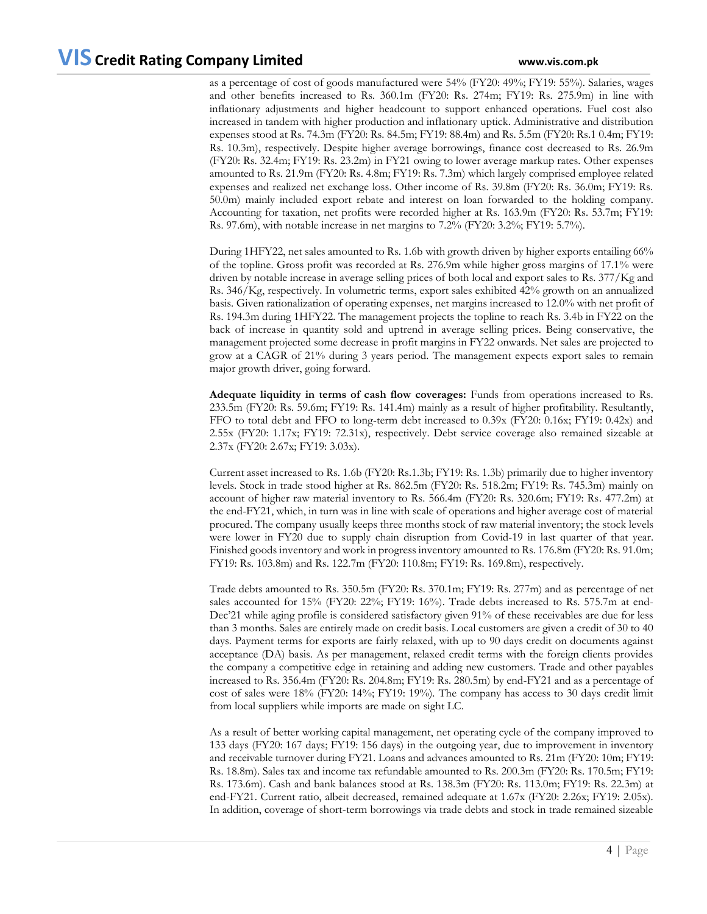as a percentage of cost of goods manufactured were 54% (FY20: 49%; FY19: 55%). Salaries, wages and other benefits increased to Rs. 360.1m (FY20: Rs. 274m; FY19: Rs. 275.9m) in line with inflationary adjustments and higher headcount to support enhanced operations. Fuel cost also increased in tandem with higher production and inflationary uptick. Administrative and distribution expenses stood at Rs. 74.3m (FY20: Rs. 84.5m; FY19: 88.4m) and Rs. 5.5m (FY20: Rs.1 0.4m; FY19: Rs. 10.3m), respectively. Despite higher average borrowings, finance cost decreased to Rs. 26.9m (FY20: Rs. 32.4m; FY19: Rs. 23.2m) in FY21 owing to lower average markup rates. Other expenses amounted to Rs. 21.9m (FY20: Rs. 4.8m; FY19: Rs. 7.3m) which largely comprised employee related expenses and realized net exchange loss. Other income of Rs. 39.8m (FY20: Rs. 36.0m; FY19: Rs. 50.0m) mainly included export rebate and interest on loan forwarded to the holding company. Accounting for taxation, net profits were recorded higher at Rs. 163.9m (FY20: Rs. 53.7m; FY19: Rs. 97.6m), with notable increase in net margins to 7.2% (FY20: 3.2%; FY19: 5.7%).

During 1HFY22, net sales amounted to Rs. 1.6b with growth driven by higher exports entailing 66% of the topline. Gross profit was recorded at Rs. 276.9m while higher gross margins of 17.1% were driven by notable increase in average selling prices of both local and export sales to Rs. 377/Kg and Rs. 346/Kg, respectively. In volumetric terms, export sales exhibited 42% growth on an annualized basis. Given rationalization of operating expenses, net margins increased to 12.0% with net profit of Rs. 194.3m during 1HFY22. The management projects the topline to reach Rs. 3.4b in FY22 on the back of increase in quantity sold and uptrend in average selling prices. Being conservative, the management projected some decrease in profit margins in FY22 onwards. Net sales are projected to grow at a CAGR of 21% during 3 years period. The management expects export sales to remain major growth driver, going forward.

**Adequate liquidity in terms of cash flow coverages:** Funds from operations increased to Rs. 233.5m (FY20: Rs. 59.6m; FY19: Rs. 141.4m) mainly as a result of higher profitability. Resultantly, FFO to total debt and FFO to long-term debt increased to 0.39x (FY20: 0.16x; FY19: 0.42x) and 2.55x (FY20: 1.17x; FY19: 72.31x), respectively. Debt service coverage also remained sizeable at 2.37x (FY20: 2.67x; FY19: 3.03x).

Current asset increased to Rs. 1.6b (FY20: Rs.1.3b; FY19: Rs. 1.3b) primarily due to higher inventory levels. Stock in trade stood higher at Rs. 862.5m (FY20: Rs. 518.2m; FY19: Rs. 745.3m) mainly on account of higher raw material inventory to Rs. 566.4m (FY20: Rs. 320.6m; FY19: Rs. 477.2m) at the end-FY21, which, in turn was in line with scale of operations and higher average cost of material procured. The company usually keeps three months stock of raw material inventory; the stock levels were lower in FY20 due to supply chain disruption from Covid-19 in last quarter of that year. Finished goods inventory and work in progress inventory amounted to Rs. 176.8m (FY20: Rs. 91.0m; FY19: Rs. 103.8m) and Rs. 122.7m (FY20: 110.8m; FY19: Rs. 169.8m), respectively.

Trade debts amounted to Rs. 350.5m (FY20: Rs. 370.1m; FY19: Rs. 277m) and as percentage of net sales accounted for 15% (FY20: 22%; FY19: 16%). Trade debts increased to Rs. 575.7m at end-Dec'21 while aging profile is considered satisfactory given 91% of these receivables are due for less than 3 months. Sales are entirely made on credit basis. Local customers are given a credit of 30 to 40 days. Payment terms for exports are fairly relaxed, with up to 90 days credit on documents against acceptance (DA) basis. As per management, relaxed credit terms with the foreign clients provides the company a competitive edge in retaining and adding new customers. Trade and other payables increased to Rs. 356.4m (FY20: Rs. 204.8m; FY19: Rs. 280.5m) by end-FY21 and as a percentage of cost of sales were 18% (FY20: 14%; FY19: 19%). The company has access to 30 days credit limit from local suppliers while imports are made on sight LC.

As a result of better working capital management, net operating cycle of the company improved to 133 days (FY20: 167 days; FY19: 156 days) in the outgoing year, due to improvement in inventory and receivable turnover during FY21. Loans and advances amounted to Rs. 21m (FY20: 10m; FY19: Rs. 18.8m). Sales tax and income tax refundable amounted to Rs. 200.3m (FY20: Rs. 170.5m; FY19: Rs. 173.6m). Cash and bank balances stood at Rs. 138.3m (FY20: Rs. 113.0m; FY19: Rs. 22.3m) at end-FY21. Current ratio, albeit decreased, remained adequate at 1.67x (FY20: 2.26x; FY19: 2.05x). In addition, coverage of short-term borrowings via trade debts and stock in trade remained sizeable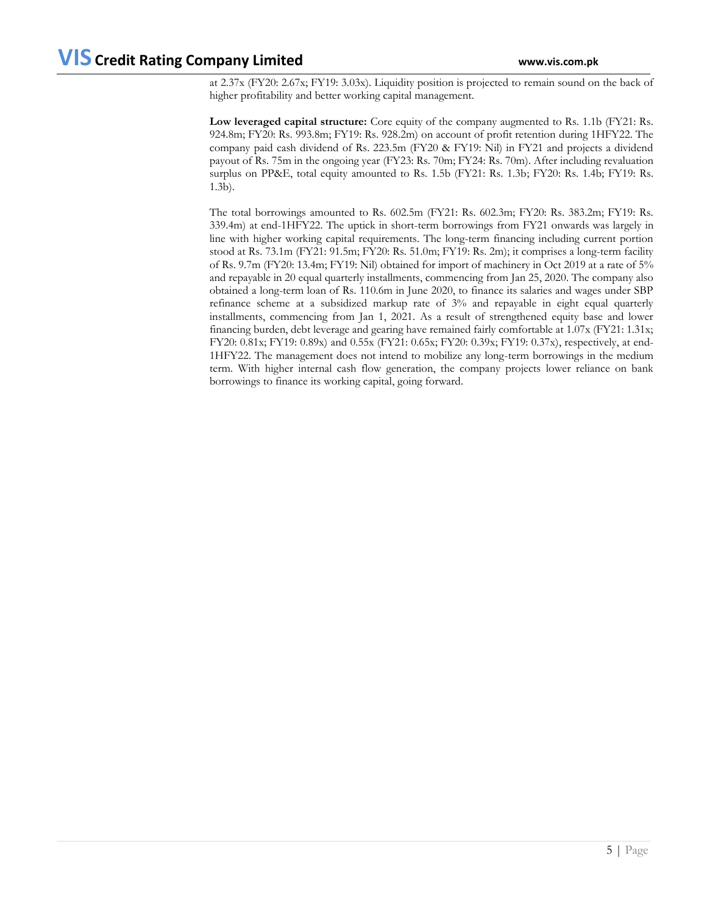at 2.37x (FY20: 2.67x; FY19: 3.03x). Liquidity position is projected to remain sound on the back of higher profitability and better working capital management.

**Low leveraged capital structure:** Core equity of the company augmented to Rs. 1.1b (FY21: Rs. 924.8m; FY20: Rs. 993.8m; FY19: Rs. 928.2m) on account of profit retention during 1HFY22. The company paid cash dividend of Rs. 223.5m (FY20 & FY19: Nil) in FY21 and projects a dividend payout of Rs. 75m in the ongoing year (FY23: Rs. 70m; FY24: Rs. 70m). After including revaluation surplus on PP&E, total equity amounted to Rs. 1.5b (FY21: Rs. 1.3b; FY20: Rs. 1.4b; FY19: Rs. 1.3b).

The total borrowings amounted to Rs. 602.5m (FY21: Rs. 602.3m; FY20: Rs. 383.2m; FY19: Rs. 339.4m) at end-1HFY22. The uptick in short-term borrowings from FY21 onwards was largely in line with higher working capital requirements. The long-term financing including current portion stood at Rs. 73.1m (FY21: 91.5m; FY20: Rs. 51.0m; FY19: Rs. 2m); it comprises a long-term facility of Rs. 9.7m (FY20: 13.4m; FY19: Nil) obtained for import of machinery in Oct 2019 at a rate of 5% and repayable in 20 equal quarterly installments, commencing from Jan 25, 2020. The company also obtained a long-term loan of Rs. 110.6m in June 2020, to finance its salaries and wages under SBP refinance scheme at a subsidized markup rate of 3% and repayable in eight equal quarterly installments, commencing from Jan 1, 2021. As a result of strengthened equity base and lower financing burden, debt leverage and gearing have remained fairly comfortable at 1.07x (FY21: 1.31x; FY20: 0.81x; FY19: 0.89x) and 0.55x (FY21: 0.65x; FY20: 0.39x; FY19: 0.37x), respectively, at end-1HFY22. The management does not intend to mobilize any long-term borrowings in the medium term. With higher internal cash flow generation, the company projects lower reliance on bank borrowings to finance its working capital, going forward.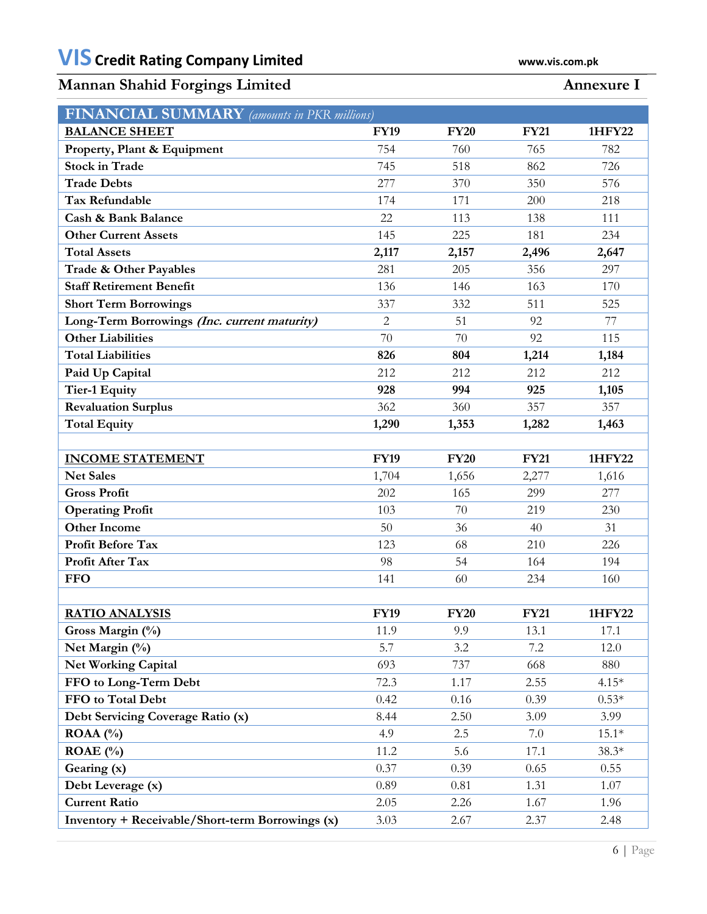# **Mannan Shahid Forgings Limited Annexure I**

| <b>FINANCIAL SUMMARY</b> (amounts in PKR millions) |              |             |             |         |  |  |
|----------------------------------------------------|--------------|-------------|-------------|---------|--|--|
| <b>BALANCE SHEET</b>                               | <b>FY19</b>  | <b>FY20</b> | <b>FY21</b> | 1HFY22  |  |  |
| Property, Plant & Equipment                        | 754          | 760         | 765         | 782     |  |  |
| <b>Stock in Trade</b>                              | 745          | 518         | 862         | 726     |  |  |
| <b>Trade Debts</b>                                 | 277          | 370         | 350         | 576     |  |  |
| <b>Tax Refundable</b>                              | 174          | 171         | 200         | 218     |  |  |
| <b>Cash &amp; Bank Balance</b>                     | 22           | 113         | 138         | 111     |  |  |
| <b>Other Current Assets</b>                        | 145          | 225         | 181         | 234     |  |  |
| <b>Total Assets</b>                                | 2,117        | 2,157       | 2,496       | 2,647   |  |  |
| Trade & Other Payables                             | 281          | 205         | 356         | 297     |  |  |
| <b>Staff Retirement Benefit</b>                    | 136          | 146         | 163         | 170     |  |  |
| <b>Short Term Borrowings</b>                       | 337          | 332         | 511         | 525     |  |  |
| Long-Term Borrowings (Inc. current maturity)       | $\mathbf{2}$ | 51          | 92          | 77      |  |  |
| <b>Other Liabilities</b>                           | 70           | 70          | 92          | 115     |  |  |
| <b>Total Liabilities</b>                           | 826          | 804         | 1,214       | 1,184   |  |  |
| Paid Up Capital                                    | 212          | 212         | 212         | 212     |  |  |
| <b>Tier-1 Equity</b>                               | 928          | 994         | 925         | 1,105   |  |  |
| <b>Revaluation Surplus</b>                         | 362          | 360         | 357         | 357     |  |  |
| <b>Total Equity</b>                                | 1,290        | 1,353       | 1,282       | 1,463   |  |  |
|                                                    |              |             |             |         |  |  |
| <b>INCOME STATEMENT</b>                            | <b>FY19</b>  | <b>FY20</b> | <b>FY21</b> | 1HFY22  |  |  |
| <b>Net Sales</b>                                   | 1,704        | 1,656       | 2,277       | 1,616   |  |  |
| <b>Gross Profit</b>                                | 202          | 165         | 299         | 277     |  |  |
| <b>Operating Profit</b>                            | 103          | 70          | 219         | 230     |  |  |
| <b>Other Income</b>                                | 50           | 36          | 40          | 31      |  |  |
| Profit Before Tax                                  | 123          | 68          | 210         | 226     |  |  |
| Profit After Tax                                   | 98           | 54          | 164         | 194     |  |  |
| <b>FFO</b>                                         | 141          | 60          | 234         | 160     |  |  |
|                                                    |              |             |             |         |  |  |
| <b>RATIO ANALYSIS</b>                              | <b>FY19</b>  | <b>FY20</b> | <b>FY21</b> | 1HFY22  |  |  |
| Gross Margin (%)                                   | 11.9         | 9.9         | 13.1        | 17.1    |  |  |
| Net Margin (%)                                     | 5.7          | 3.2         | 7.2         | 12.0    |  |  |
| <b>Net Working Capital</b>                         | 693          | 737         | 668         | 880     |  |  |
| FFO to Long-Term Debt                              | 72.3         | 1.17        | 2.55        | $4.15*$ |  |  |
| FFO to Total Debt                                  | 0.42         | 0.16        | 0.39        | $0.53*$ |  |  |
| Debt Servicing Coverage Ratio (x)                  | 8.44         | 2.50        | 3.09        | 3.99    |  |  |
| $ROAA(^{0}/_{0})$                                  | 4.9          | 2.5         | 7.0         | $15.1*$ |  |  |
| ROAE $(\% )$                                       | 11.2         | 5.6         | 17.1        | $38.3*$ |  |  |
| Gearing (x)                                        | 0.37         | 0.39        | 0.65        | 0.55    |  |  |
| Debt Leverage (x)                                  | 0.89         | 0.81        | 1.31        | 1.07    |  |  |
| <b>Current Ratio</b>                               | 2.05         | 2.26        | 1.67        | 1.96    |  |  |
| Inventory + Receivable/Short-term Borrowings (x)   | 3.03         | 2.67        | 2.37        | 2.48    |  |  |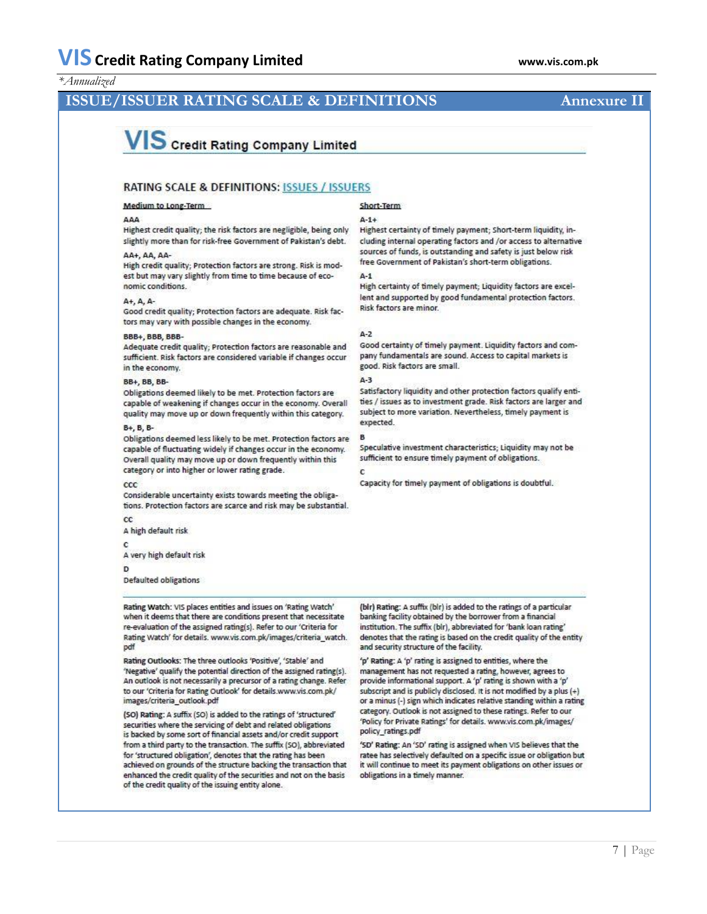### *\*Annualized*

### **ISSUE/ISSUER RATING SCALE & DEFINITIONS Annexure II**

# VIS Credit Rating Company Limited

#### **RATING SCALE & DEFINITIONS: ISSUES / ISSUERS**

#### Medium to Long-Term

#### **444**

Highest credit quality; the risk factors are negligible, being only slightly more than for risk-free Government of Pakistan's debt.

#### AA+, AA, AA-

High credit quality; Protection factors are strong. Risk is modest but may vary slightly from time to time because of economic conditions.

#### A+, A, A-

Good credit quality; Protection factors are adequate. Risk factors may vary with possible changes in the economy.

#### BBB+, BBB, BBB-

Adequate credit quality; Protection factors are reasonable and sufficient. Risk factors are considered variable if changes occur in the economy.

#### BB+, BB, BB-

Obligations deemed likely to be met. Protection factors are capable of weakening if changes occur in the economy. Overall quality may move up or down frequently within this category.

#### B+, B, B-

Obligations deemed less likely to be met. Protection factors are capable of fluctuating widely if changes occur in the economy. Overall quality may move up or down frequently within this category or into higher or lower rating grade.

#### ccc

Considerable uncertainty exists towards meeting the obligations. Protection factors are scarce and risk may be substantial.

#### $\alpha$ A high default risk

C

A very high default risk

#### D

**Defaulted obligations** 

Rating Watch: VIS places entities and issues on 'Rating Watch' when it deems that there are conditions present that necessitate re-evaluation of the assigned rating(s). Refer to our 'Criteria for Rating Watch' for details. www.vis.com.pk/images/criteria\_watch. pdf

Rating Outlooks: The three outlooks 'Positive', 'Stable' and 'Negative' qualify the potential direction of the assigned rating(s). An outlook is not necessarily a precursor of a rating change. Refer to our 'Criteria for Rating Outlook' for details.www.vis.com.pk/ images/criteria\_outlook.pdf

(SO) Rating: A suffix (SO) is added to the ratings of 'structured' securities where the servicing of debt and related obligations is backed by some sort of financial assets and/or credit support from a third party to the transaction. The suffix (SO), abbreviated for 'structured obligation', denotes that the rating has been achieved on grounds of the structure backing the transaction that enhanced the credit quality of the securities and not on the basis of the credit quality of the issuing entity alone.

#### Short-Term

#### $A-1+$

Highest certainty of timely payment; Short-term liquidity, including internal operating factors and /or access to alternative sources of funds, is outstanding and safety is just below risk free Government of Pakistan's short-term obligations.

#### $A-1$

High certainty of timely payment; Liquidity factors are excellent and supported by good fundamental protection factors. Risk factors are minor.

#### $A-2$

Good certainty of timely payment. Liquidity factors and company fundamentals are sound. Access to capital markets is good. Risk factors are small.

#### $A-3$

Satisfactory liquidity and other protection factors qualify entities / issues as to investment grade. Risk factors are larger and subject to more variation. Nevertheless, timely payment is expected.

Speculative investment characteristics; Liquidity may not be sufficient to ensure timely payment of obligations.

#### c

Capacity for timely payment of obligations is doubtful.

(bir) Rating: A suffix (bir) is added to the ratings of a particular banking facility obtained by the borrower from a financial institution. The suffix (blr), abbreviated for 'bank loan rating' denotes that the rating is based on the credit quality of the entity and security structure of the facility.

'p' Rating: A 'p' rating is assigned to entities, where the management has not requested a rating, however, agrees to provide informational support. A 'p' rating is shown with a 'p' subscript and is publicly disclosed. It is not modified by a plus (+) or a minus (-) sign which indicates relative standing within a rating category. Outlook is not assigned to these ratings. Refer to our 'Policy for Private Ratings' for details. www.vis.com.pk/images/ policy\_ratings.pdf

'SD' Rating: An 'SD' rating is assigned when VIS believes that the ratee has selectively defaulted on a specific issue or obligation but it will continue to meet its payment obligations on other issues or obligations in a timely manner.